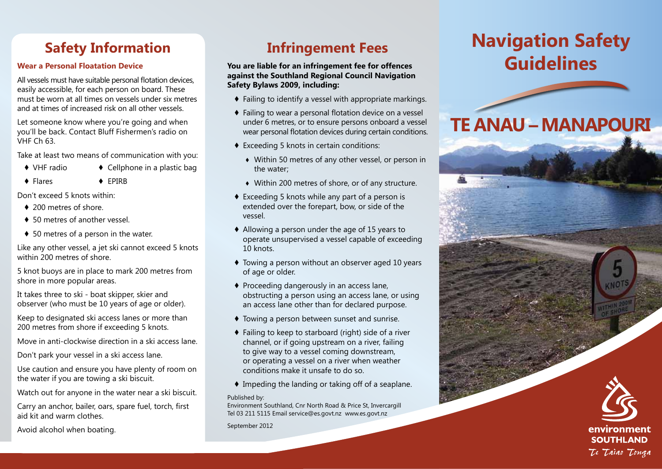## **Safety Information**

### **Wear a Personal Floatation Device**

All vessels must have suitable personal flotation devices, easily accessible, for each person on board. These must be worn at all times on vessels under six metres and at times of increased risk on all other vessels.

Let someone know where you're going and when you'll be back. Contact Bluff Fishermen's radio on VHF Ch 63.

Take at least two means of communication with you:

- ♦ VHF radio ♦ Cellphone in a plastic bag
- ♦ Flares ♦ EPIRB

Don't exceed 5 knots within:

- ♦ 200 metres of shore.
- ♦ 50 metres of another vessel.
- ♦ 50 metres of a person in the water.

Like any other vessel, a jet ski cannot exceed 5 knots within 200 metres of shore.

5 knot buoys are in place to mark 200 metres from shore in more popular areas.

It takes three to ski - boat skipper, skier and observer (who must be 10 years of age or older).

Keep to designated ski access lanes or more than 200 metres from shore if exceeding 5 knots.

Move in anti-clockwise direction in a ski access lane.

Don't park your vessel in a ski access lane.

Use caution and ensure you have plenty of room on the water if you are towing a ski biscuit.

Watch out for anyone in the water near a ski biscuit.

Carry an anchor, bailer, oars, spare fuel, torch, first aid kit and warm clothes.

Avoid alcohol when boating.

## **Infringement Fees**

**You are liable for an infringement fee for offences against the Southland Regional Council Navigation Safety Bylaws 2009, including:**

- ♦ Failing to identify a vessel with appropriate markings.
- ♦ Failing to wear a personal flotation device on a vessel under 6 metres, or to ensure persons onboard a vessel wear personal flotation devices during certain conditions.
- ♦ Exceeding 5 knots in certain conditions:
	- ♦ Within 50 metres of any other vessel, or person in the water;
	- ♦ Within 200 metres of shore, or of any structure.
- ♦ Exceeding 5 knots while any part of a person is extended over the forepart, bow, or side of the vessel.
- ♦ Allowing a person under the age of 15 years to operate unsupervised a vessel capable of exceeding 10 knots.
- ♦ Towing a person without an observer aged 10 years of age or older.
- ♦ Proceeding dangerously in an access lane, obstructing a person using an access lane, or using an access lane other than for declared purpose.
- ♦ Towing a person between sunset and sunrise.
- ♦ Failing to keep to starboard (right) side of a river channel, or if going upstream on a river, failing to give way to a vessel coming downstream, or operating a vessel on a river when weather conditions make it unsafe to do so.
- ♦ Impeding the landing or taking off of a seaplane.

#### Published by:

Environment Southland, Cnr North Road & Price St, Invercargill Tel 03 211 5115 Email service@es.govt.nz www.es.govt.nz

September 2012

# **Navigation Safety Guidelines**

## **Te Anau – Manapouri**